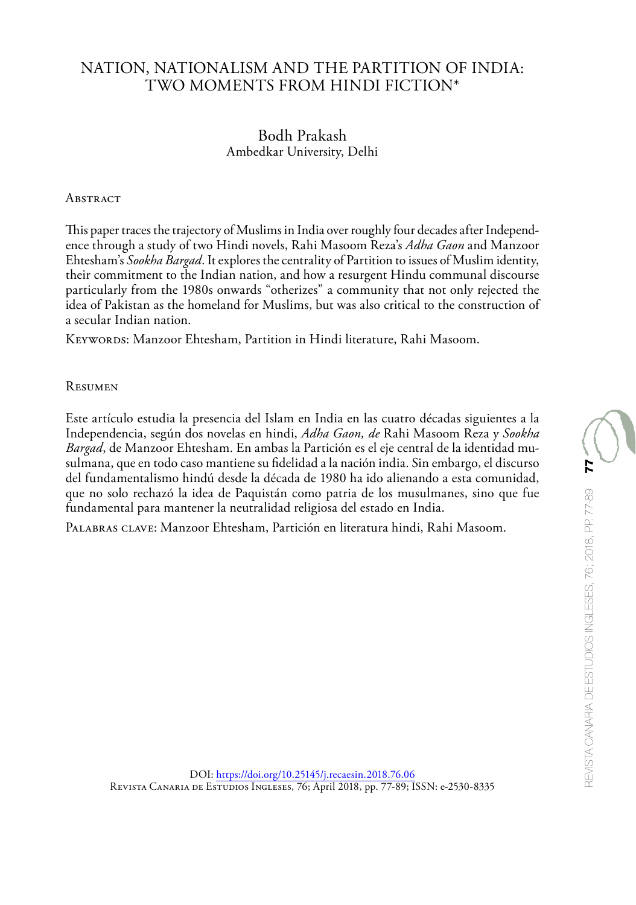## NATION, NATIONALISM AND THE PARTITION OF INDIA: TWO MOMENTS FROM HINDI FICTION\*

## Bodh Prakash Ambedkar University, Delhi

## **ABSTRACT**

This paper traces the trajectory of Muslims in India over roughly four decades after Independence through a study of two Hindi novels, Rahi Masoom Reza's *Adha Gaon* and Manzoor Ehtesham's *Sookha Bargad*. It explores the centrality of Partition to issues of Muslim identity, their commitment to the Indian nation, and how a resurgent Hindu communal discourse particularly from the 1980s onwards "otherizes" a community that not only rejected the idea of Pakistan as the homeland for Muslims, but was also critical to the construction of a secular Indian nation.

KEYWORDS: Manzoor Ehtesham, Partition in Hindi literature, Rahi Masoom.

Resumen

Este artículo estudia la presencia del Islam en India en las cuatro décadas siguientes a la Independencia, según dos novelas en hindi, *Adha Gaon, de* Rahi Masoom Reza y *Sookha Bargad*, de Manzoor Ehtesham. En ambas la Partición es el eje central de la identidad musulmana, que en todo caso mantiene su fidelidad a la nación india. Sin embargo, el discurso del fundamentalismo hindú desde la década de 1980 ha ido alienando a esta comunidad, que no solo rechazó la idea de Paquistán como patria de los musulmanes, sino que fue fundamental para mantener la neutralidad religiosa del estado en India.

Palabras clave: Manzoor Ehtesham, Partición en literatura hindi, Rahi Masoom.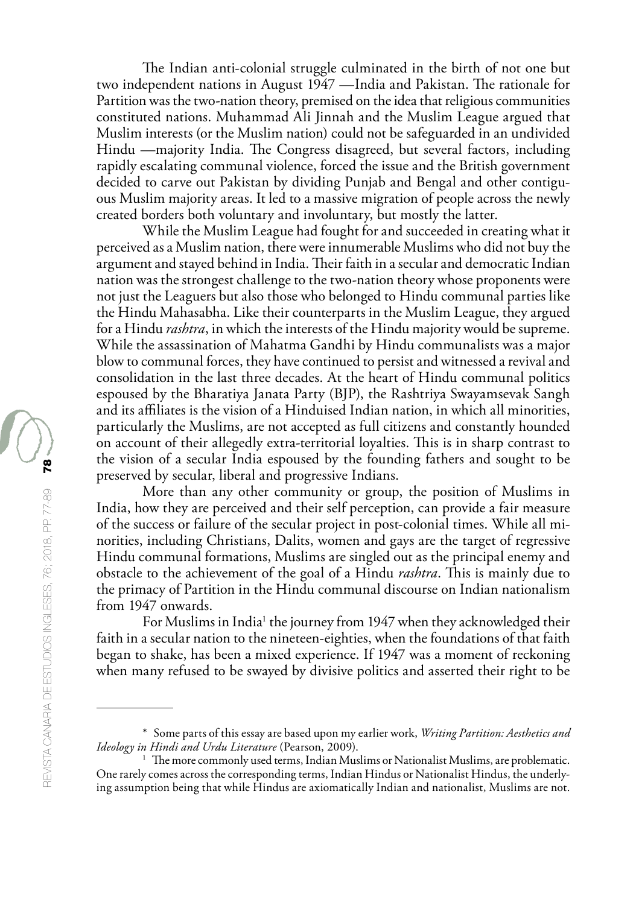The Indian anti-colonial struggle culminated in the birth of not one but two independent nations in August 1947 —India and Pakistan. The rationale for Partition was the two-nation theory, premised on the idea that religious communities constituted nations. Muhammad Ali Jinnah and the Muslim League argued that Muslim interests (or the Muslim nation) could not be safeguarded in an undivided Hindu —majority India. The Congress disagreed, but several factors, including rapidly escalating communal violence, forced the issue and the British government decided to carve out Pakistan by dividing Punjab and Bengal and other contiguous Muslim majority areas. It led to a massive migration of people across the newly created borders both voluntary and involuntary, but mostly the latter.

While the Muslim League had fought for and succeeded in creating what it perceived as a Muslim nation, there were innumerable Muslims who did not buy the argument and stayed behind in India. Their faith in a secular and democratic Indian nation was the strongest challenge to the two-nation theory whose proponents were not just the Leaguers but also those who belonged to Hindu communal parties like the Hindu Mahasabha. Like their counterparts in the Muslim League, they argued for a Hindu *rashtra*, in which the interests of the Hindu majority would be supreme. While the assassination of Mahatma Gandhi by Hindu communalists was a major blow to communal forces, they have continued to persist and witnessed a revival and consolidation in the last three decades. At the heart of Hindu communal politics espoused by the Bharatiya Janata Party (BJP), the Rashtriya Swayamsevak Sangh and its affiliates is the vision of a Hinduised Indian nation, in which all minorities, particularly the Muslims, are not accepted as full citizens and constantly hounded on account of their allegedly extra-territorial loyalties. This is in sharp contrast to the vision of a secular India espoused by the founding fathers and sought to be preserved by secular, liberal and progressive Indians.

More than any other community or group, the position of Muslims in India, how they are perceived and their self perception, can provide a fair measure of the success or failure of the secular project in post-colonial times. While all minorities, including Christians, Dalits, women and gays are the target of regressive Hindu communal formations, Muslims are singled out as the principal enemy and obstacle to the achievement of the goal of a Hindu *rashtra*. This is mainly due to the primacy of Partition in the Hindu communal discourse on Indian nationalism from 1947 onwards.

For Muslims in India<sup>1</sup> the journey from 1947 when they acknowledged their faith in a secular nation to the nineteen-eighties, when the foundations of that faith began to shake, has been a mixed experience. If 1947 was a moment of reckoning when many refused to be swayed by divisive politics and asserted their right to be

<sup>\*</sup> Some parts of this essay are based upon my earlier work, *Writing Partition: Aesthetics and Ideology in Hindi and Urdu Literature* (Pearson, 2009).

<sup>&</sup>lt;sup>1</sup> The more commonly used terms, Indian Muslims or Nationalist Muslims, are problematic. One rarely comes across the corresponding terms, Indian Hindus or Nationalist Hindus, the underlying assumption being that while Hindus are axiomatically Indian and nationalist, Muslims are not.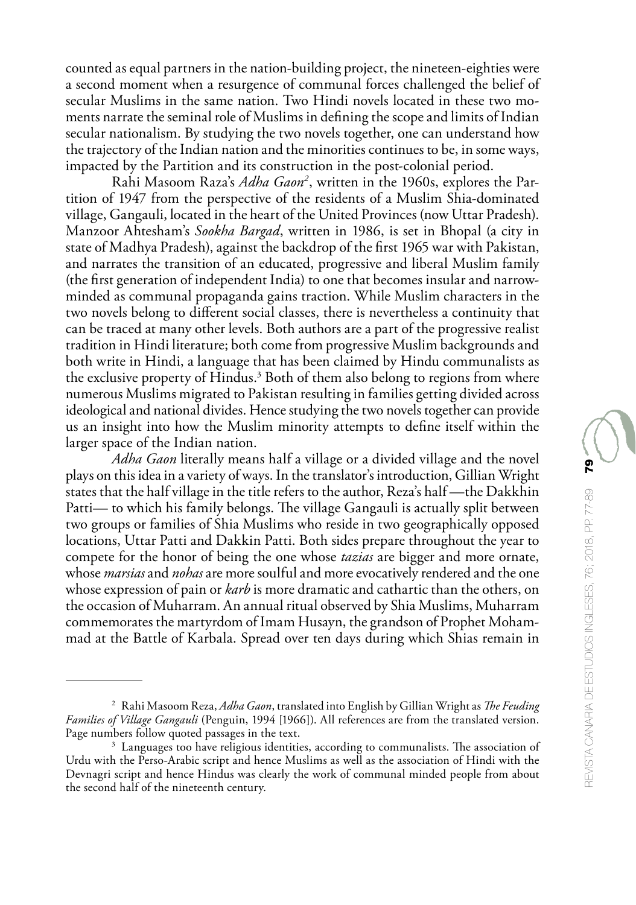counted as equal partners in the nation-building project, the nineteen-eighties were a second moment when a resurgence of communal forces challenged the belief of secular Muslims in the same nation. Two Hindi novels located in these two moments narrate the seminal role of Muslims in defining the scope and limits of Indian secular nationalism. By studying the two novels together, one can understand how the trajectory of the Indian nation and the minorities continues to be, in some ways, impacted by the Partition and its construction in the post-colonial period.

Rahi Masoom Raza's *Adha Gaon2* , written in the 1960s, explores the Partition of 1947 from the perspective of the residents of a Muslim Shia-dominated village, Gangauli, located in the heart of the United Provinces (now Uttar Pradesh). Manzoor Ahtesham's *Sookha Bargad*, written in 1986, is set in Bhopal (a city in state of Madhya Pradesh), against the backdrop of the first 1965 war with Pakistan, and narrates the transition of an educated, progressive and liberal Muslim family (the first generation of independent India) to one that becomes insular and narrowminded as communal propaganda gains traction. While Muslim characters in the two novels belong to different social classes, there is nevertheless a continuity that can be traced at many other levels. Both authors are a part of the progressive realist tradition in Hindi literature; both come from progressive Muslim backgrounds and both write in Hindi, a language that has been claimed by Hindu communalists as the exclusive property of Hindus.<sup>3</sup> Both of them also belong to regions from where numerous Muslims migrated to Pakistan resulting in families getting divided across ideological and national divides. Hence studying the two novels together can provide us an insight into how the Muslim minority attempts to define itself within the larger space of the Indian nation.

*Adha Gaon* literally means half a village or a divided village and the novel plays on this idea in a variety of ways. In the translator's introduction, Gillian Wright states that the half village in the title refers to the author, Reza's half —the Dakkhin Patti— to which his family belongs. The village Gangauli is actually split between two groups or families of Shia Muslims who reside in two geographically opposed locations, Uttar Patti and Dakkin Patti. Both sides prepare throughout the year to compete for the honor of being the one whose *tazias* are bigger and more ornate, whose *marsias* and *nohas* are more soulful and more evocatively rendered and the one whose expression of pain or *karb* is more dramatic and cathartic than the others, on the occasion of Muharram. An annual ritual observed by Shia Muslims, Muharram commemorates the martyrdom of Imam Husayn, the grandson of Prophet Mohammad at the Battle of Karbala. Spread over ten days during which Shias remain in

<sup>2</sup> Rahi Masoom Reza, *Adha Gaon*, translated into English by Gillian Wright as *The Feuding Families of Village Gangauli* (Penguin, 1994 [1966]). All references are from the translated version. Page numbers follow quoted passages in the text.

<sup>&</sup>lt;sup>3</sup> Languages too have religious identities, according to communalists. The association of Urdu with the Perso-Arabic script and hence Muslims as well as the association of Hindi with the Devnagri script and hence Hindus was clearly the work of communal minded people from about the second half of the nineteenth century.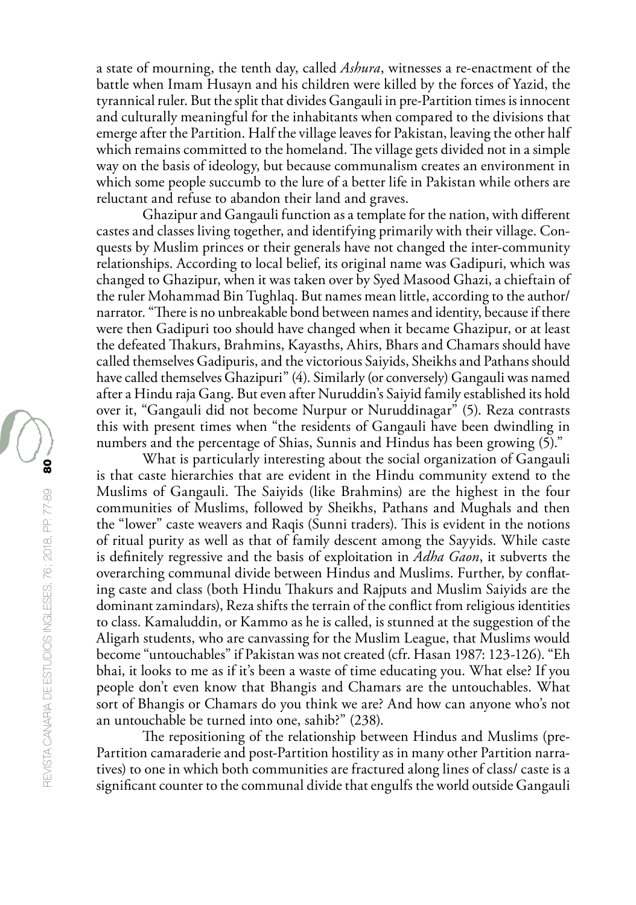a state of mourning, the tenth day, called *Ashura*, witnesses a re-enactment of the battle when Imam Husayn and his children were killed by the forces of Yazid, the tyrannical ruler. But the split that divides Gangauli in pre-Partition times is innocent and culturally meaningful for the inhabitants when compared to the divisions that emerge after the Partition. Half the village leaves for Pakistan, leaving the other half which remains committed to the homeland. The village gets divided not in a simple way on the basis of ideology, but because communalism creates an environment in which some people succumb to the lure of a better life in Pakistan while others are reluctant and refuse to abandon their land and graves.

Ghazipur and Gangauli function as a template for the nation, with different castes and classes living together, and identifying primarily with their village. Conquests by Muslim princes or their generals have not changed the inter-community relationships. According to local belief, its original name was Gadipuri, which was changed to Ghazipur, when it was taken over by Syed Masood Ghazi, a chieftain of the ruler Mohammad Bin Tughlaq. But names mean little, according to the author/ narrator. "There is no unbreakable bond between names and identity, because if there were then Gadipuri too should have changed when it became Ghazipur, or at least the defeated Thakurs, Brahmins, Kayasths, Ahirs, Bhars and Chamars should have called themselves Gadipuris, and the victorious Saiyids, Sheikhs and Pathans should have called themselves Ghazipuri" (4). Similarly (or conversely) Gangauli was named after a Hindu raja Gang. But even after Nuruddin's Saiyid family established its hold over it, "Gangauli did not become Nurpur or Nuruddinagar" (5). Reza contrasts this with present times when "the residents of Gangauli have been dwindling in numbers and the percentage of Shias, Sunnis and Hindus has been growing (5)."

What is particularly interesting about the social organization of Gangauli is that caste hierarchies that are evident in the Hindu community extend to the Muslims of Gangauli. The Saiyids (like Brahmins) are the highest in the four communities of Muslims, followed by Sheikhs, Pathans and Mughals and then the "lower" caste weavers and Raqis (Sunni traders). This is evident in the notions of ritual purity as well as that of family descent among the Sayyids. While caste is definitely regressive and the basis of exploitation in *Adha Gaon*, it subverts the overarching communal divide between Hindus and Muslims. Further, by conflating caste and class (both Hindu Thakurs and Rajputs and Muslim Saiyids are the dominant zamindars), Reza shifts the terrain of the conflict from religious identities to class. Kamaluddin, or Kammo as he is called, is stunned at the suggestion of the Aligarh students, who are canvassing for the Muslim League, that Muslims would become "untouchables" if Pakistan was not created (cfr. Hasan 1987: 123-126). "Eh bhai, it looks to me as if it's been a waste of time educating you. What else? If you people don't even know that Bhangis and Chamars are the untouchables. What sort of Bhangis or Chamars do you think we are? And how can anyone who's not an untouchable be turned into one, sahib?" (238).

The repositioning of the relationship between Hindus and Muslims (pre-Partition camaraderie and post-Partition hostility as in many other Partition narratives) to one in which both communities are fractured along lines of class/ caste is a significant counter to the communal divide that engulfs the world outside Gangauli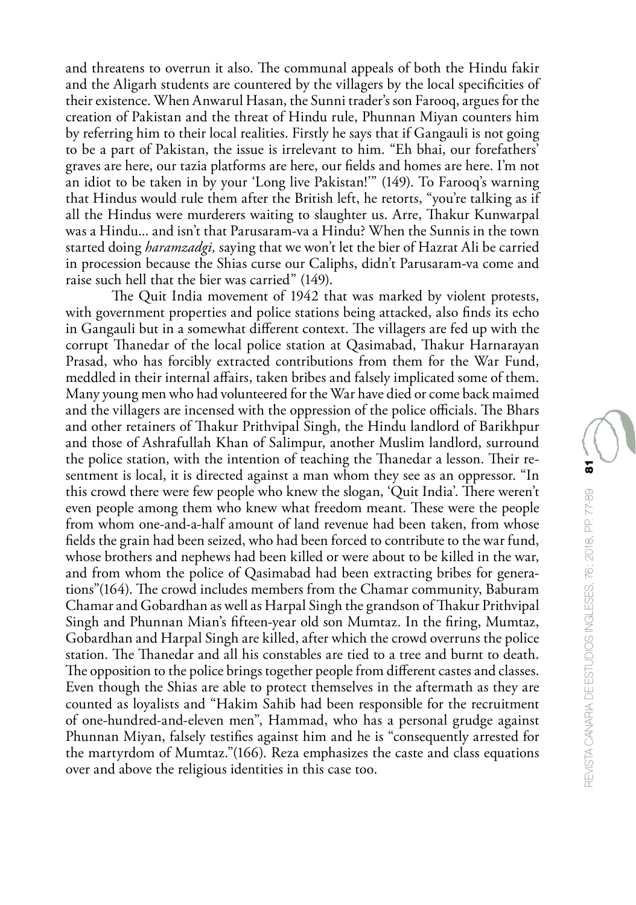and threatens to overrun it also. The communal appeals of both the Hindu fakir and the Aligarh students are countered by the villagers by the local specificities of their existence. When Anwarul Hasan, the Sunni trader's son Farooq, argues for the creation of Pakistan and the threat of Hindu rule, Phunnan Miyan counters him by referring him to their local realities. Firstly he says that if Gangauli is not going to be a part of Pakistan, the issue is irrelevant to him. "Eh bhai, our forefathers' graves are here, our tazia platforms are here, our fields and homes are here. I'm not an idiot to be taken in by your 'Long live Pakistan!'" (149). To Farooq's warning that Hindus would rule them after the British left, he retorts, "you're talking as if all the Hindus were murderers waiting to slaughter us. Arre, Thakur Kunwarpal was a Hindu... and isn't that Parusaram-va a Hindu? When the Sunnis in the town started doing *haramzadgi,* saying that we won't let the bier of Hazrat Ali be carried in procession because the Shias curse our Caliphs, didn't Parusaram-va come and raise such hell that the bier was carried" (149).

The Quit India movement of 1942 that was marked by violent protests, with government properties and police stations being attacked, also finds its echo in Gangauli but in a somewhat different context. The villagers are fed up with the corrupt Thanedar of the local police station at Qasimabad, Thakur Harnarayan Prasad, who has forcibly extracted contributions from them for the War Fund, meddled in their internal affairs, taken bribes and falsely implicated some of them. Many young men who had volunteered for the War have died or come back maimed and the villagers are incensed with the oppression of the police officials. The Bhars and other retainers of Thakur Prithvipal Singh, the Hindu landlord of Barikhpur and those of Ashrafullah Khan of Salimpur, another Muslim landlord, surround the police station, with the intention of teaching the Thanedar a lesson. Their resentment is local, it is directed against a man whom they see as an oppressor. "In this crowd there were few people who knew the slogan, 'Quit India'. There weren't even people among them who knew what freedom meant. These were the people from whom one-and-a-half amount of land revenue had been taken, from whose fields the grain had been seized, who had been forced to contribute to the war fund, whose brothers and nephews had been killed or were about to be killed in the war, and from whom the police of Qasimabad had been extracting bribes for generations"(164). The crowd includes members from the Chamar community, Baburam Chamar and Gobardhan as well as Harpal Singh the grandson of Thakur Prithvipal Singh and Phunnan Mian's fifteen-year old son Mumtaz. In the firing, Mumtaz, Gobardhan and Harpal Singh are killed, after which the crowd overruns the police station. The Thanedar and all his constables are tied to a tree and burnt to death. The opposition to the police brings together people from different castes and classes. Even though the Shias are able to protect themselves in the aftermath as they are counted as loyalists and "Hakim Sahib had been responsible for the recruitment of one-hundred-and-eleven men", Hammad, who has a personal grudge against Phunnan Miyan, falsely testifies against him and he is "consequently arrested for the martyrdom of Mumtaz."(166). Reza emphasizes the caste and class equations over and above the religious identities in this case too.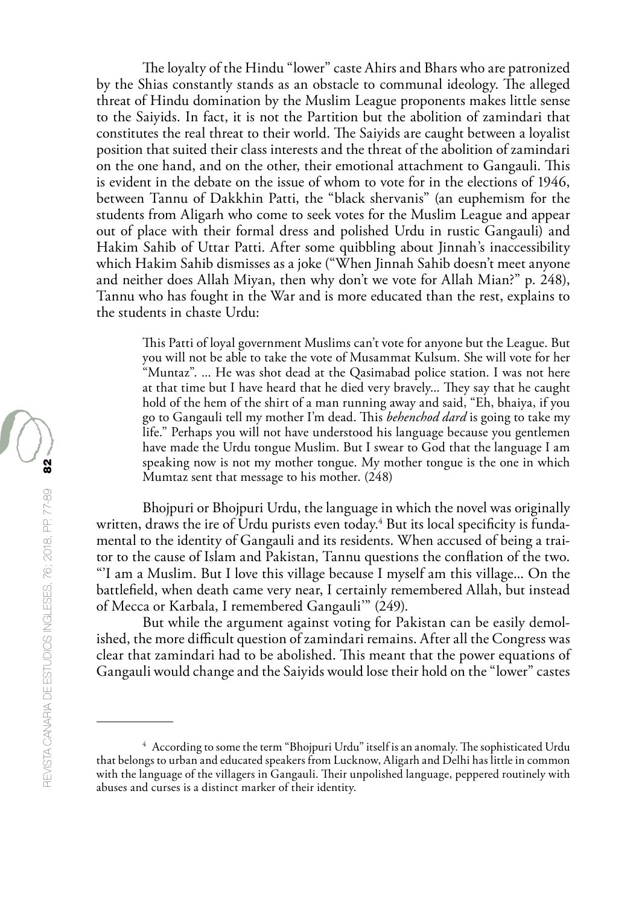The loyalty of the Hindu "lower" caste Ahirs and Bhars who are patronized by the Shias constantly stands as an obstacle to communal ideology. The alleged threat of Hindu domination by the Muslim League proponents makes little sense to the Saiyids. In fact, it is not the Partition but the abolition of zamindari that constitutes the real threat to their world. The Saiyids are caught between a loyalist position that suited their class interests and the threat of the abolition of zamindari on the one hand, and on the other, their emotional attachment to Gangauli. This is evident in the debate on the issue of whom to vote for in the elections of 1946, between Tannu of Dakkhin Patti, the "black shervanis" (an euphemism for the students from Aligarh who come to seek votes for the Muslim League and appear out of place with their formal dress and polished Urdu in rustic Gangauli) and Hakim Sahib of Uttar Patti. After some quibbling about Jinnah's inaccessibility which Hakim Sahib dismisses as a joke ("When Jinnah Sahib doesn't meet anyone and neither does Allah Miyan, then why don't we vote for Allah Mian?" p. 248), Tannu who has fought in the War and is more educated than the rest, explains to the students in chaste Urdu:

This Patti of loyal government Muslims can't vote for anyone but the League. But you will not be able to take the vote of Musammat Kulsum. She will vote for her "Muntaz". ... He was shot dead at the Qasimabad police station. I was not here at that time but I have heard that he died very bravely... They say that he caught hold of the hem of the shirt of a man running away and said, "Eh, bhaiya, if you go to Gangauli tell my mother I'm dead. This *behenchod dard* is going to take my life." Perhaps you will not have understood his language because you gentlemen have made the Urdu tongue Muslim. But I swear to God that the language I am speaking now is not my mother tongue. My mother tongue is the one in which Mumtaz sent that message to his mother. (248)

Bhojpuri or Bhojpuri Urdu, the language in which the novel was originally written, draws the ire of Urdu purists even today.<sup>4</sup> But its local specificity is fundamental to the identity of Gangauli and its residents. When accused of being a traitor to the cause of Islam and Pakistan, Tannu questions the conflation of the two. "'I am a Muslim. But I love this village because I myself am this village... On the battlefield, when death came very near, I certainly remembered Allah, but instead of Mecca or Karbala, I remembered Gangauli'" (249).

But while the argument against voting for Pakistan can be easily demolished, the more difficult question of zamindari remains. After all the Congress was clear that zamindari had to be abolished. This meant that the power equations of Gangauli would change and the Saiyids would lose their hold on the "lower" castes

<sup>&</sup>lt;sup>4</sup> According to some the term "Bhojpuri Urdu" itself is an anomaly. The sophisticated Urdu that belongs to urban and educated speakers from Lucknow, Aligarh and Delhi has little in common with the language of the villagers in Gangauli. Their unpolished language, peppered routinely with abuses and curses is a distinct marker of their identity.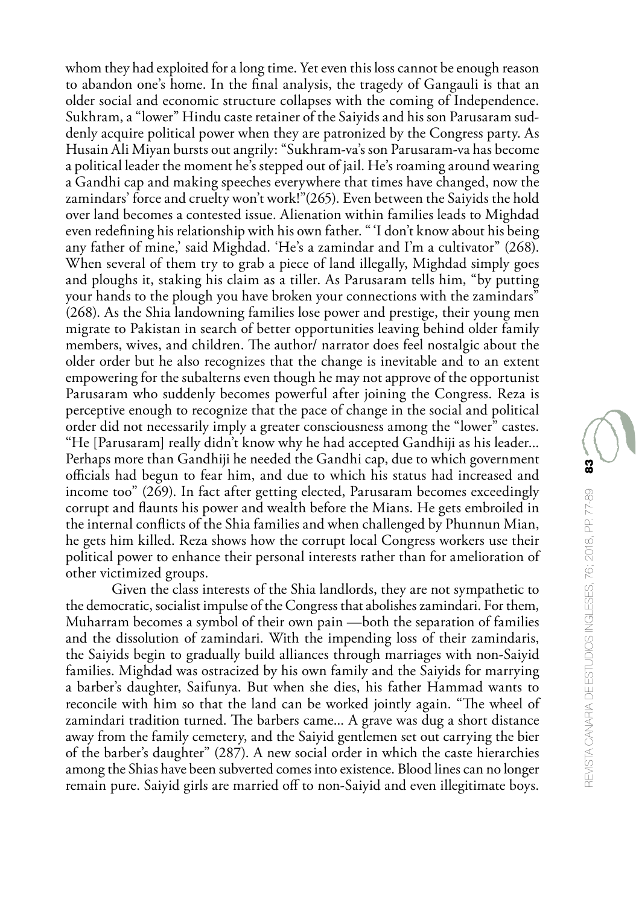whom they had exploited for a long time. Yet even this loss cannot be enough reason to abandon one's home. In the final analysis, the tragedy of Gangauli is that an older social and economic structure collapses with the coming of Independence. Sukhram, a "lower" Hindu caste retainer of the Saiyids and his son Parusaram suddenly acquire political power when they are patronized by the Congress party. As Husain Ali Miyan bursts out angrily: "Sukhram-va's son Parusaram-va has become a political leader the moment he's stepped out of jail. He's roaming around wearing a Gandhi cap and making speeches everywhere that times have changed, now the zamindars' force and cruelty won't work!"(265). Even between the Saiyids the hold over land becomes a contested issue. Alienation within families leads to Mighdad even redefining his relationship with his own father. " 'I don't know about his being any father of mine,' said Mighdad. 'He's a zamindar and I'm a cultivator" (268). When several of them try to grab a piece of land illegally, Mighdad simply goes and ploughs it, staking his claim as a tiller. As Parusaram tells him, "by putting your hands to the plough you have broken your connections with the zamindars" (268). As the Shia landowning families lose power and prestige, their young men migrate to Pakistan in search of better opportunities leaving behind older family members, wives, and children. The author/ narrator does feel nostalgic about the older order but he also recognizes that the change is inevitable and to an extent empowering for the subalterns even though he may not approve of the opportunist Parusaram who suddenly becomes powerful after joining the Congress. Reza is perceptive enough to recognize that the pace of change in the social and political order did not necessarily imply a greater consciousness among the "lower" castes. "He [Parusaram] really didn't know why he had accepted Gandhiji as his leader... Perhaps more than Gandhiji he needed the Gandhi cap, due to which government officials had begun to fear him, and due to which his status had increased and income too" (269). In fact after getting elected, Parusaram becomes exceedingly corrupt and flaunts his power and wealth before the Mians. He gets embroiled in the internal conflicts of the Shia families and when challenged by Phunnun Mian, he gets him killed. Reza shows how the corrupt local Congress workers use their political power to enhance their personal interests rather than for amelioration of other victimized groups.

Given the class interests of the Shia landlords, they are not sympathetic to the democratic, socialist impulse of the Congress that abolishes zamindari. For them, Muharram becomes a symbol of their own pain —both the separation of families and the dissolution of zamindari. With the impending loss of their zamindaris, the Saiyids begin to gradually build alliances through marriages with non-Saiyid families. Mighdad was ostracized by his own family and the Saiyids for marrying a barber's daughter, Saifunya. But when she dies, his father Hammad wants to reconcile with him so that the land can be worked jointly again. "The wheel of zamindari tradition turned. The barbers came... A grave was dug a short distance away from the family cemetery, and the Saiyid gentlemen set out carrying the bier of the barber's daughter" (287). A new social order in which the caste hierarchies among the Shias have been subverted comes into existence. Blood lines can no longer remain pure. Saiyid girls are married off to non-Saiyid and even illegitimate boys.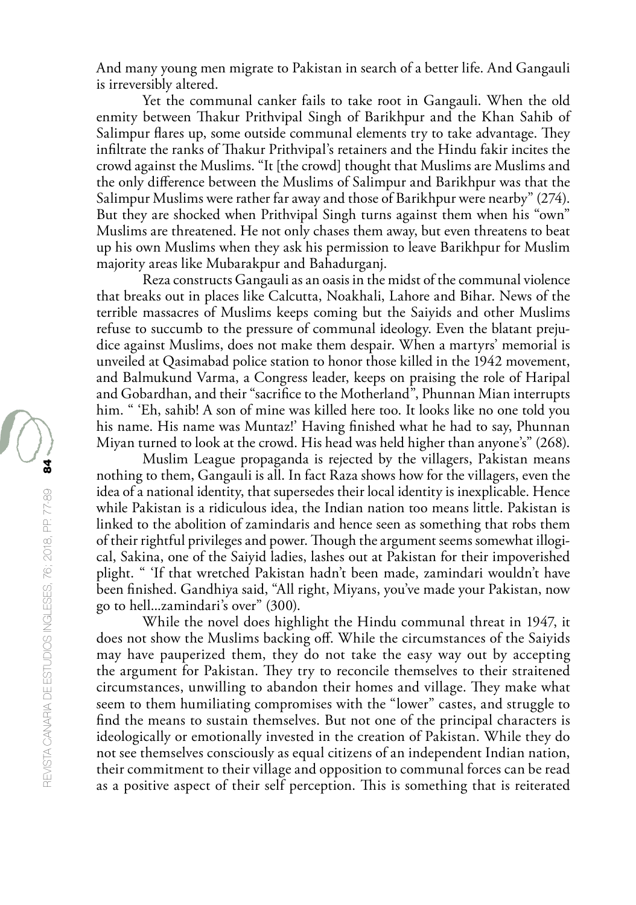And many young men migrate to Pakistan in search of a better life. And Gangauli is irreversibly altered.

Yet the communal canker fails to take root in Gangauli. When the old enmity between Thakur Prithvipal Singh of Barikhpur and the Khan Sahib of Salimpur flares up, some outside communal elements try to take advantage. They infiltrate the ranks of Thakur Prithvipal's retainers and the Hindu fakir incites the crowd against the Muslims. "It [the crowd] thought that Muslims are Muslims and the only difference between the Muslims of Salimpur and Barikhpur was that the Salimpur Muslims were rather far away and those of Barikhpur were nearby" (274). But they are shocked when Prithvipal Singh turns against them when his "own" Muslims are threatened. He not only chases them away, but even threatens to beat up his own Muslims when they ask his permission to leave Barikhpur for Muslim majority areas like Mubarakpur and Bahadurganj.

Reza constructs Gangauli as an oasis in the midst of the communal violence that breaks out in places like Calcutta, Noakhali, Lahore and Bihar. News of the terrible massacres of Muslims keeps coming but the Saiyids and other Muslims refuse to succumb to the pressure of communal ideology. Even the blatant prejudice against Muslims, does not make them despair. When a martyrs' memorial is unveiled at Qasimabad police station to honor those killed in the 1942 movement, and Balmukund Varma, a Congress leader, keeps on praising the role of Haripal and Gobardhan, and their "sacrifice to the Motherland", Phunnan Mian interrupts him. " 'Eh, sahib! A son of mine was killed here too. It looks like no one told you his name. His name was Muntaz!' Having finished what he had to say, Phunnan Miyan turned to look at the crowd. His head was held higher than anyone's" (268).

Muslim League propaganda is rejected by the villagers, Pakistan means nothing to them, Gangauli is all. In fact Raza shows how for the villagers, even the idea of a national identity, that supersedes their local identity is inexplicable. Hence while Pakistan is a ridiculous idea, the Indian nation too means little. Pakistan is linked to the abolition of zamindaris and hence seen as something that robs them of their rightful privileges and power. Though the argument seems somewhat illogical, Sakina, one of the Saiyid ladies, lashes out at Pakistan for their impoverished plight. " 'If that wretched Pakistan hadn't been made, zamindari wouldn't have been finished. Gandhiya said, "All right, Miyans, you've made your Pakistan, now go to hell...zamindari's over" (300).

While the novel does highlight the Hindu communal threat in 1947, it does not show the Muslims backing off. While the circumstances of the Saiyids may have pauperized them, they do not take the easy way out by accepting the argument for Pakistan. They try to reconcile themselves to their straitened circumstances, unwilling to abandon their homes and village. They make what seem to them humiliating compromises with the "lower" castes, and struggle to find the means to sustain themselves. But not one of the principal characters is ideologically or emotionally invested in the creation of Pakistan. While they do not see themselves consciously as equal citizens of an independent Indian nation, their commitment to their village and opposition to communal forces can be read as a positive aspect of their self perception. This is something that is reiterated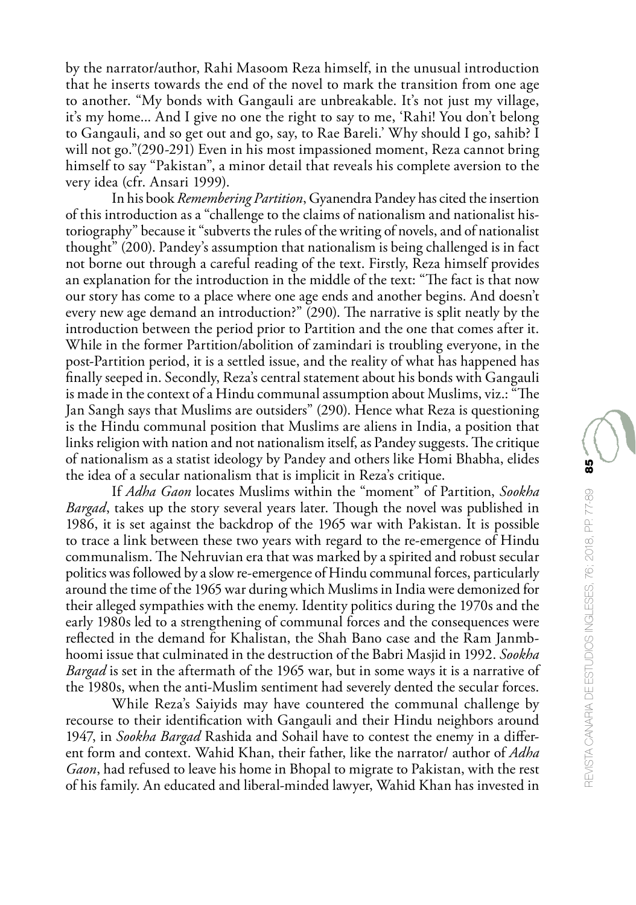by the narrator/author, Rahi Masoom Reza himself, in the unusual introduction that he inserts towards the end of the novel to mark the transition from one age to another. "My bonds with Gangauli are unbreakable. It's not just my village, it's my home... And I give no one the right to say to me, 'Rahi! You don't belong to Gangauli, and so get out and go, say, to Rae Bareli.' Why should I go, sahib? I will not go."(290-291) Even in his most impassioned moment, Reza cannot bring himself to say "Pakistan", a minor detail that reveals his complete aversion to the very idea (cfr. Ansari 1999).

In his book *Remembering Partition*, Gyanendra Pandey has cited the insertion of this introduction as a "challenge to the claims of nationalism and nationalist historiography" because it "subverts the rules of the writing of novels, and of nationalist thought" (200). Pandey's assumption that nationalism is being challenged is in fact not borne out through a careful reading of the text. Firstly, Reza himself provides an explanation for the introduction in the middle of the text: "The fact is that now our story has come to a place where one age ends and another begins. And doesn't every new age demand an introduction?" (290). The narrative is split neatly by the introduction between the period prior to Partition and the one that comes after it. While in the former Partition/abolition of zamindari is troubling everyone, in the post-Partition period, it is a settled issue, and the reality of what has happened has finally seeped in. Secondly, Reza's central statement about his bonds with Gangauli is made in the context of a Hindu communal assumption about Muslims, viz.: "The Jan Sangh says that Muslims are outsiders" (290). Hence what Reza is questioning is the Hindu communal position that Muslims are aliens in India, a position that links religion with nation and not nationalism itself, as Pandey suggests. The critique of nationalism as a statist ideology by Pandey and others like Homi Bhabha, elides the idea of a secular nationalism that is implicit in Reza's critique.

If *Adha Gaon* locates Muslims within the "moment" of Partition, *Sookha Bargad*, takes up the story several years later. Though the novel was published in 1986, it is set against the backdrop of the 1965 war with Pakistan. It is possible to trace a link between these two years with regard to the re-emergence of Hindu communalism. The Nehruvian era that was marked by a spirited and robust secular politics was followed by a slow re-emergence of Hindu communal forces, particularly around the time of the 1965 war during which Muslims in India were demonized for their alleged sympathies with the enemy. Identity politics during the 1970s and the early 1980s led to a strengthening of communal forces and the consequences were reflected in the demand for Khalistan, the Shah Bano case and the Ram Janmbhoomi issue that culminated in the destruction of the Babri Masjid in 1992. *Sookha Bargad* is set in the aftermath of the 1965 war, but in some ways it is a narrative of the 1980s, when the anti-Muslim sentiment had severely dented the secular forces.

While Reza's Saiyids may have countered the communal challenge by recourse to their identification with Gangauli and their Hindu neighbors around 1947, in *Sookha Bargad* Rashida and Sohail have to contest the enemy in a different form and context. Wahid Khan, their father, like the narrator/ author of *Adha Gaon*, had refused to leave his home in Bhopal to migrate to Pakistan, with the rest of his family. An educated and liberal-minded lawyer, Wahid Khan has invested in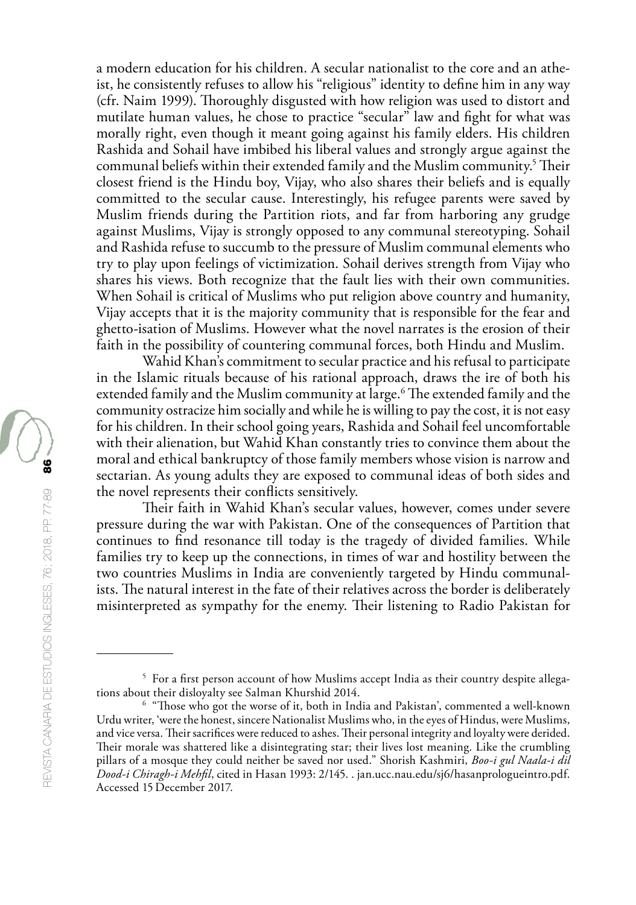a modern education for his children. A secular nationalist to the core and an atheist, he consistently refuses to allow his "religious" identity to define him in any way (cfr. Naim 1999). Thoroughly disgusted with how religion was used to distort and mutilate human values, he chose to practice "secular" law and fight for what was morally right, even though it meant going against his family elders. His children Rashida and Sohail have imbibed his liberal values and strongly argue against the communal beliefs within their extended family and the Muslim community.5 Their closest friend is the Hindu boy, Vijay, who also shares their beliefs and is equally committed to the secular cause. Interestingly, his refugee parents were saved by Muslim friends during the Partition riots, and far from harboring any grudge against Muslims, Vijay is strongly opposed to any communal stereotyping. Sohail and Rashida refuse to succumb to the pressure of Muslim communal elements who try to play upon feelings of victimization. Sohail derives strength from Vijay who shares his views. Both recognize that the fault lies with their own communities. When Sohail is critical of Muslims who put religion above country and humanity, Vijay accepts that it is the majority community that is responsible for the fear and ghetto-isation of Muslims. However what the novel narrates is the erosion of their faith in the possibility of countering communal forces, both Hindu and Muslim.

Wahid Khan's commitment to secular practice and his refusal to participate in the Islamic rituals because of his rational approach, draws the ire of both his extended family and the Muslim community at large.<sup>6</sup> The extended family and the community ostracize him socially and while he is willing to pay the cost, it is not easy for his children. In their school going years, Rashida and Sohail feel uncomfortable with their alienation, but Wahid Khan constantly tries to convince them about the moral and ethical bankruptcy of those family members whose vision is narrow and sectarian. As young adults they are exposed to communal ideas of both sides and the novel represents their conflicts sensitively.

Their faith in Wahid Khan's secular values, however, comes under severe pressure during the war with Pakistan. One of the consequences of Partition that continues to find resonance till today is the tragedy of divided families. While families try to keep up the connections, in times of war and hostility between the two countries Muslims in India are conveniently targeted by Hindu communalists. The natural interest in the fate of their relatives across the border is deliberately misinterpreted as sympathy for the enemy. Their listening to Radio Pakistan for

<sup>5</sup> For a first person account of how Muslims accept India as their country despite allegations about their disloyalty see Salman Khurshid 2014.

<sup>6</sup> "Those who got the worse of it, both in India and Pakistan', commented a well-known Urdu writer, 'were the honest, sincere Nationalist Muslims who, in the eyes of Hindus, were Muslims, and vice versa. Their sacrifices were reduced to ashes. Their personal integrity and loyalty were derided. Their morale was shattered like a disintegrating star; their lives lost meaning. Like the crumbling pillars of a mosque they could neither be saved nor used." Shorish Kashmiri, *Boo-i gul Naala-i dil Dood-i Chiragh-i Mehfil*, cited in Hasan 1993: 2/145. . jan.ucc.nau.edu/sj6/hasanprologueintro.pdf. Accessed 15December 2017.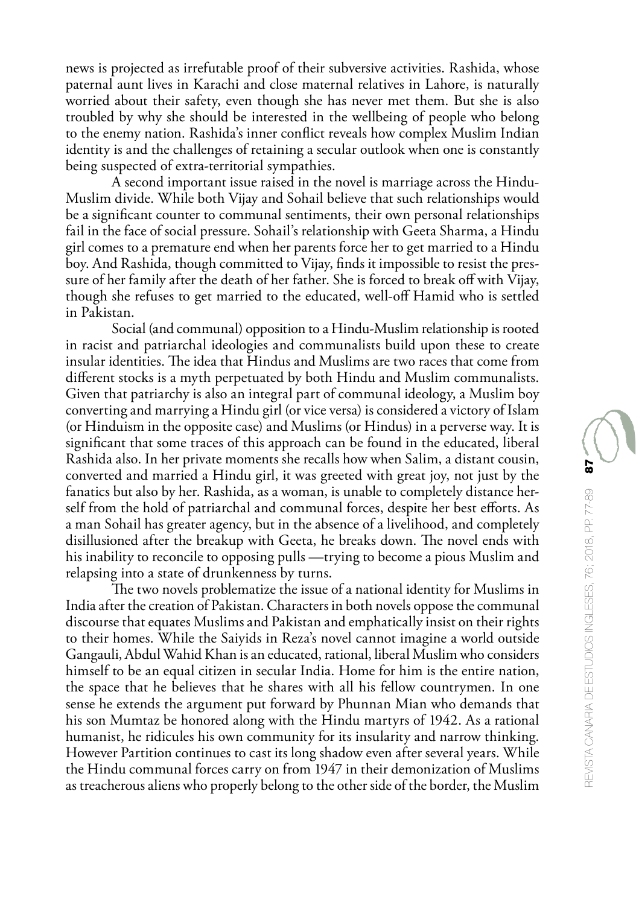news is projected as irrefutable proof of their subversive activities. Rashida, whose paternal aunt lives in Karachi and close maternal relatives in Lahore, is naturally worried about their safety, even though she has never met them. But she is also troubled by why she should be interested in the wellbeing of people who belong to the enemy nation. Rashida's inner conflict reveals how complex Muslim Indian identity is and the challenges of retaining a secular outlook when one is constantly being suspected of extra-territorial sympathies.

A second important issue raised in the novel is marriage across the Hindu-Muslim divide. While both Vijay and Sohail believe that such relationships would be a significant counter to communal sentiments, their own personal relationships fail in the face of social pressure. Sohail's relationship with Geeta Sharma, a Hindu girl comes to a premature end when her parents force her to get married to a Hindu boy. And Rashida, though committed to Vijay, finds it impossible to resist the pressure of her family after the death of her father. She is forced to break off with Vijay, though she refuses to get married to the educated, well-off Hamid who is settled in Pakistan.

Social (and communal) opposition to a Hindu-Muslim relationship is rooted in racist and patriarchal ideologies and communalists build upon these to create insular identities. The idea that Hindus and Muslims are two races that come from different stocks is a myth perpetuated by both Hindu and Muslim communalists. Given that patriarchy is also an integral part of communal ideology, a Muslim boy converting and marrying a Hindu girl (or vice versa) is considered a victory of Islam (or Hinduism in the opposite case) and Muslims (or Hindus) in a perverse way. It is significant that some traces of this approach can be found in the educated, liberal Rashida also. In her private moments she recalls how when Salim, a distant cousin, converted and married a Hindu girl, it was greeted with great joy, not just by the fanatics but also by her. Rashida, as a woman, is unable to completely distance herself from the hold of patriarchal and communal forces, despite her best efforts. As a man Sohail has greater agency, but in the absence of a livelihood, and completely disillusioned after the breakup with Geeta, he breaks down. The novel ends with his inability to reconcile to opposing pulls —trying to become a pious Muslim and relapsing into a state of drunkenness by turns.

The two novels problematize the issue of a national identity for Muslims in India after the creation of Pakistan. Characters in both novels oppose the communal discourse that equates Muslims and Pakistan and emphatically insist on their rights to their homes. While the Saiyids in Reza's novel cannot imagine a world outside Gangauli, Abdul Wahid Khan is an educated, rational, liberal Muslim who considers himself to be an equal citizen in secular India. Home for him is the entire nation, the space that he believes that he shares with all his fellow countrymen. In one sense he extends the argument put forward by Phunnan Mian who demands that his son Mumtaz be honored along with the Hindu martyrs of 1942. As a rational humanist, he ridicules his own community for its insularity and narrow thinking. However Partition continues to cast its long shadow even after several years. While the Hindu communal forces carry on from 1947 in their demonization of Muslims as treacherous aliens who properly belong to the other side of the border, the Muslim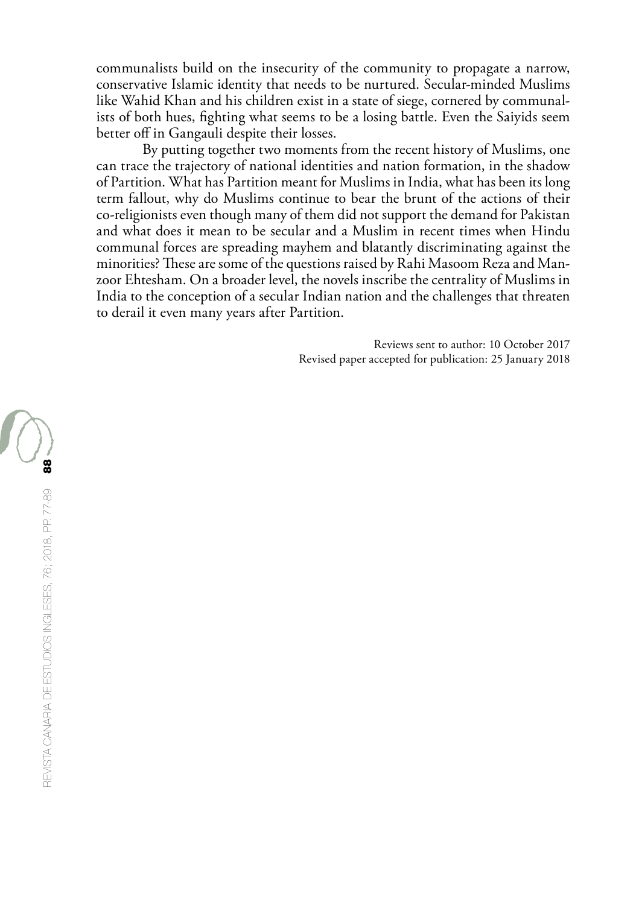communalists build on the insecurity of the community to propagate a narrow, conservative Islamic identity that needs to be nurtured. Secular-minded Muslims like Wahid Khan and his children exist in a state of siege, cornered by communalists of both hues, fighting what seems to be a losing battle. Even the Saiyids seem better off in Gangauli despite their losses.

By putting together two moments from the recent history of Muslims, one can trace the trajectory of national identities and nation formation, in the shadow of Partition. What has Partition meant for Muslims in India, what has been its long term fallout, why do Muslims continue to bear the brunt of the actions of their co-religionists even though many of them did not support the demand for Pakistan and what does it mean to be secular and a Muslim in recent times when Hindu communal forces are spreading mayhem and blatantly discriminating against the minorities? These are some of the questions raised by Rahi Masoom Reza and Manzoor Ehtesham. On a broader level, the novels inscribe the centrality of Muslims in India to the conception of a secular Indian nation and the challenges that threaten to derail it even many years after Partition.

> Reviews sent to author: 10 October 2017 Revised paper accepted for publication: 25 January 2018